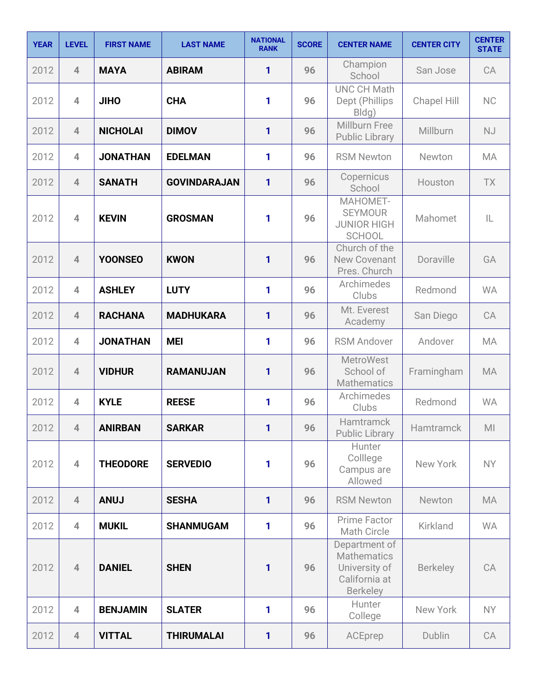| <b>YEAR</b> | <b>LEVEL</b>   | <b>FIRST NAME</b> | <b>LAST NAME</b>    | <b>NATIONAL</b><br><b>RANK</b> | <b>SCORE</b> | <b>CENTER NAME</b>                                                                       | <b>CENTER CITY</b> | <b>CENTER</b><br><b>STATE</b> |
|-------------|----------------|-------------------|---------------------|--------------------------------|--------------|------------------------------------------------------------------------------------------|--------------------|-------------------------------|
| 2012        | $\overline{4}$ | <b>MAYA</b>       | <b>ABIRAM</b>       | 1                              | 96           | Champion<br>School                                                                       | San Jose           | CA                            |
| 2012        | $\overline{4}$ | <b>JIHO</b>       | <b>CHA</b>          | 1                              | 96           | <b>UNC CH Math</b><br>Dept (Phillips<br>Bldg)                                            | <b>Chapel Hill</b> | <b>NC</b>                     |
| 2012        | $\overline{4}$ | <b>NICHOLAI</b>   | <b>DIMOV</b>        | $\mathbf{1}$                   | 96           | Millburn Free<br><b>Public Library</b>                                                   | Millburn           | <b>NJ</b>                     |
| 2012        | $\overline{4}$ | <b>JONATHAN</b>   | <b>EDELMAN</b>      | 1                              | 96           | <b>RSM Newton</b>                                                                        | Newton             | <b>MA</b>                     |
| 2012        | $\overline{4}$ | <b>SANATH</b>     | <b>GOVINDARAJAN</b> | 1                              | 96           | Copernicus<br>School                                                                     | Houston            | <b>TX</b>                     |
| 2012        | 4              | <b>KEVIN</b>      | <b>GROSMAN</b>      | 1                              | 96           | MAHOMET-<br><b>SEYMOUR</b><br><b>JUNIOR HIGH</b><br><b>SCHOOL</b>                        | Mahomet            | IL                            |
| 2012        | $\overline{4}$ | <b>YOONSEO</b>    | <b>KWON</b>         | 1                              | 96           | Church of the<br><b>New Covenant</b><br>Pres. Church                                     | Doraville          | GA                            |
| 2012        | $\overline{4}$ | <b>ASHLEY</b>     | <b>LUTY</b>         | 1                              | 96           | Archimedes<br>Clubs                                                                      | Redmond            | <b>WA</b>                     |
| 2012        | $\overline{4}$ | <b>RACHANA</b>    | <b>MADHUKARA</b>    | 1                              | 96           | Mt. Everest<br>Academy                                                                   | San Diego          | CA                            |
| 2012        | $\overline{4}$ | <b>JONATHAN</b>   | <b>MEI</b>          | 1                              | 96           | <b>RSM Andover</b>                                                                       | Andover            | <b>MA</b>                     |
| 2012        | $\overline{4}$ | <b>VIDHUR</b>     | <b>RAMANUJAN</b>    | 1                              | 96           | <b>MetroWest</b><br>School of<br><b>Mathematics</b>                                      | Framingham         | <b>MA</b>                     |
| 2012        | $\overline{4}$ | <b>KYLE</b>       | <b>REESE</b>        | 1                              | 96           | Archimedes<br>Clubs                                                                      | Redmond            | <b>WA</b>                     |
| 2012        | $\overline{4}$ | <b>ANIRBAN</b>    | <b>SARKAR</b>       | 1                              | 96           | Hamtramck<br><b>Public Library</b>                                                       | Hamtramck          | M <sub>l</sub>                |
| 2012        | $\overline{4}$ | <b>THEODORE</b>   | <b>SERVEDIO</b>     | 1                              | 96           | Hunter<br>Colllege<br>Campus are<br>Allowed                                              | New York           | <b>NY</b>                     |
| 2012        | $\overline{4}$ | <b>ANUJ</b>       | <b>SESHA</b>        | 1                              | 96           | <b>RSM Newton</b>                                                                        | Newton             | MA                            |
| 2012        | $\overline{4}$ | <b>MUKIL</b>      | <b>SHANMUGAM</b>    | 1                              | 96           | Prime Factor<br><b>Math Circle</b>                                                       | Kirkland           | <b>WA</b>                     |
| 2012        | $\overline{4}$ | <b>DANIEL</b>     | <b>SHEN</b>         | $\mathbf{1}$                   | 96           | Department of<br><b>Mathematics</b><br>University of<br>California at<br><b>Berkeley</b> | <b>Berkeley</b>    | CA                            |
| 2012        | $\overline{4}$ | <b>BENJAMIN</b>   | <b>SLATER</b>       | 1                              | 96           | Hunter<br>College                                                                        | New York           | NY.                           |
| 2012        | $\overline{4}$ | <b>VITTAL</b>     | <b>THIRUMALAI</b>   | 1                              | 96           | ACEprep                                                                                  | Dublin             | CA                            |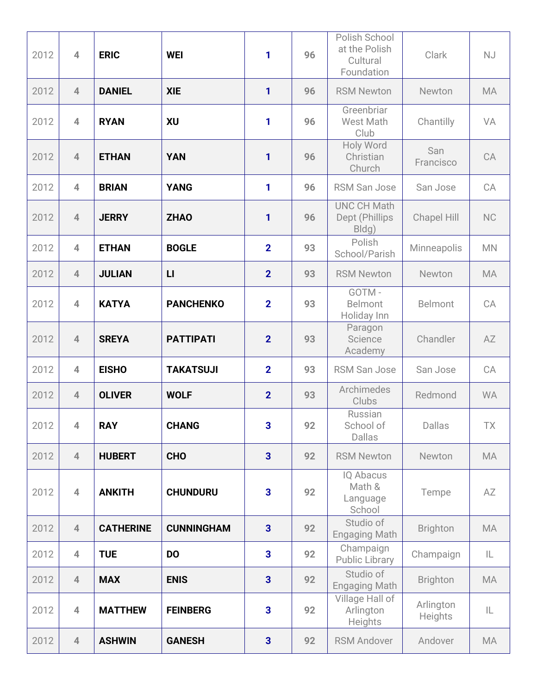| 2012 | $\overline{4}$ | <b>ERIC</b>      | <b>WEI</b>        | 1                       | 96 | Polish School<br>at the Polish<br>Cultural<br>Foundation | Clark                | NJ        |
|------|----------------|------------------|-------------------|-------------------------|----|----------------------------------------------------------|----------------------|-----------|
| 2012 | $\overline{4}$ | <b>DANIEL</b>    | <b>XIE</b>        | 1                       | 96 | <b>RSM Newton</b>                                        | Newton               | <b>MA</b> |
| 2012 | $\overline{4}$ | <b>RYAN</b>      | XU                | 1                       | 96 | Greenbriar<br>West Math<br>Club                          | Chantilly            | VA        |
| 2012 | $\overline{4}$ | <b>ETHAN</b>     | <b>YAN</b>        | 1                       | 96 | Holy Word<br>Christian<br>Church                         | San<br>Francisco     | CA        |
| 2012 | $\overline{4}$ | <b>BRIAN</b>     | <b>YANG</b>       | 1                       | 96 | <b>RSM San Jose</b>                                      | San Jose             | CA        |
| 2012 | $\overline{4}$ | <b>JERRY</b>     | <b>ZHAO</b>       | 1                       | 96 | <b>UNC CH Math</b><br>Dept (Phillips<br>Bldg)            | Chapel Hill          | NC        |
| 2012 | $\overline{4}$ | <b>ETHAN</b>     | <b>BOGLE</b>      | $\overline{2}$          | 93 | Polish<br>School/Parish                                  | Minneapolis          | <b>MN</b> |
| 2012 | $\overline{4}$ | <b>JULIAN</b>    | L1                | $\overline{2}$          | 93 | <b>RSM Newton</b>                                        | Newton               | <b>MA</b> |
| 2012 | $\overline{4}$ | <b>KATYA</b>     | <b>PANCHENKO</b>  | $\overline{2}$          | 93 | GOTM-<br>Belmont<br>Holiday Inn                          | <b>Belmont</b>       | CA        |
| 2012 | $\overline{4}$ | <b>SREYA</b>     | <b>PATTIPATI</b>  | $\overline{2}$          | 93 | Paragon<br>Science<br>Academy                            | Chandler             | AZ        |
| 2012 | $\overline{4}$ | <b>EISHO</b>     | <b>TAKATSUJI</b>  | $\overline{2}$          | 93 | <b>RSM San Jose</b>                                      | San Jose             | CA        |
| 2012 | $\overline{4}$ | <b>OLIVER</b>    | <b>WOLF</b>       | $\overline{2}$          | 93 | Archimedes<br>Clubs                                      | Redmond              | <b>WA</b> |
| 2012 | $\overline{4}$ | <b>RAY</b>       | <b>CHANG</b>      | 3                       | 92 | Russian<br>School of<br><b>Dallas</b>                    | Dallas               | <b>TX</b> |
| 2012 | $\overline{4}$ | <b>HUBERT</b>    | <b>CHO</b>        | $\overline{3}$          | 92 | <b>RSM Newton</b>                                        | Newton               | MA        |
| 2012 | $\overline{4}$ | <b>ANKITH</b>    | <b>CHUNDURU</b>   | $\overline{\mathbf{3}}$ | 92 | <b>IQ Abacus</b><br>Math &<br>Language<br>School         | Tempe                | AZ        |
| 2012 | $\overline{4}$ | <b>CATHERINE</b> | <b>CUNNINGHAM</b> | $\overline{\mathbf{3}}$ | 92 | Studio of<br><b>Engaging Math</b>                        | <b>Brighton</b>      | MA        |
| 2012 | $\overline{4}$ | <b>TUE</b>       | <b>DO</b>         | $\overline{\mathbf{3}}$ | 92 | Champaign<br><b>Public Library</b>                       | Champaign            | IL        |
| 2012 | $\overline{4}$ | <b>MAX</b>       | <b>ENIS</b>       | $\overline{\mathbf{3}}$ | 92 | Studio of<br><b>Engaging Math</b>                        | <b>Brighton</b>      | MA        |
| 2012 | $\overline{4}$ | <b>MATTHEW</b>   | <b>FEINBERG</b>   | $\overline{\mathbf{3}}$ | 92 | Village Hall of<br>Arlington<br>Heights                  | Arlington<br>Heights | IL        |
| 2012 | $\overline{4}$ | <b>ASHWIN</b>    | <b>GANESH</b>     | $\overline{\mathbf{3}}$ | 92 | <b>RSM Andover</b>                                       | Andover              | MA        |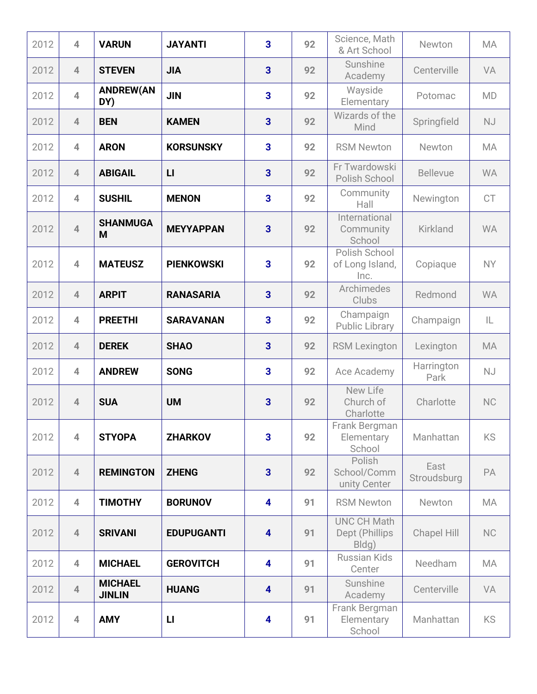| 2012 | $\overline{4}$ | <b>VARUN</b>                    | <b>JAYANTI</b>    | $\overline{\mathbf{3}}$ | 92 | Science, Math<br>& Art School                 | Newton              | <b>MA</b> |
|------|----------------|---------------------------------|-------------------|-------------------------|----|-----------------------------------------------|---------------------|-----------|
| 2012 | $\overline{4}$ | <b>STEVEN</b>                   | <b>JIA</b>        | $\overline{\mathbf{3}}$ | 92 | Sunshine<br>Academy                           | Centerville         | VA        |
| 2012 | $\overline{4}$ | <b>ANDREW(AN</b><br>DY)         | <b>JIN</b>        | 3                       | 92 | Wayside<br>Elementary                         | Potomac             | <b>MD</b> |
| 2012 | $\overline{4}$ | <b>BEN</b>                      | <b>KAMEN</b>      | $\overline{\mathbf{3}}$ | 92 | Wizards of the<br>Mind                        | Springfield         | <b>NJ</b> |
| 2012 | $\overline{4}$ | <b>ARON</b>                     | <b>KORSUNSKY</b>  | 3                       | 92 | <b>RSM Newton</b>                             | Newton              | MA        |
| 2012 | $\overline{4}$ | <b>ABIGAIL</b>                  | L1                | $\overline{\mathbf{3}}$ | 92 | Fr Twardowski<br>Polish School                | <b>Bellevue</b>     | <b>WA</b> |
| 2012 | $\overline{4}$ | <b>SUSHIL</b>                   | <b>MENON</b>      | $\overline{\mathbf{3}}$ | 92 | Community<br>Hall                             | Newington           | <b>CT</b> |
| 2012 | $\overline{4}$ | <b>SHANMUGA</b><br>M            | <b>MEYYAPPAN</b>  | 3                       | 92 | International<br>Community<br>School          | Kirkland            | <b>WA</b> |
| 2012 | $\overline{4}$ | <b>MATEUSZ</b>                  | <b>PIENKOWSKI</b> | 3                       | 92 | Polish School<br>of Long Island,<br>Inc.      | Copiaque            | <b>NY</b> |
| 2012 | $\overline{4}$ | <b>ARPIT</b>                    | <b>RANASARIA</b>  | $\overline{\mathbf{3}}$ | 92 | Archimedes<br>Clubs                           | Redmond             | <b>WA</b> |
| 2012 | $\overline{4}$ | <b>PREETHI</b>                  | <b>SARAVANAN</b>  | $\overline{\mathbf{3}}$ | 92 | Champaign<br><b>Public Library</b>            | Champaign           | IL        |
| 2012 | $\overline{4}$ | <b>DEREK</b>                    | <b>SHAO</b>       | $\overline{\mathbf{3}}$ | 92 | <b>RSM Lexington</b>                          | Lexington           | <b>MA</b> |
| 2012 | $\overline{4}$ | <b>ANDREW</b>                   | <b>SONG</b>       | $\overline{\mathbf{3}}$ | 92 | Ace Academy                                   | Harrington<br>Park  | <b>NJ</b> |
| 2012 | $\overline{4}$ | <b>SUA</b>                      | <b>UM</b>         | $\overline{3}$          | 92 | New Life<br>Church of<br>Charlotte            | Charlotte           | <b>NC</b> |
| 2012 | $\overline{4}$ | <b>STYOPA</b>                   | <b>ZHARKOV</b>    | $\overline{\mathbf{3}}$ | 92 | Frank Bergman<br>Elementary<br>School         | Manhattan           | <b>KS</b> |
| 2012 | $\overline{4}$ | <b>REMINGTON</b>                | <b>ZHENG</b>      | $\overline{\mathbf{3}}$ | 92 | Polish<br>School/Comm<br>unity Center         | East<br>Stroudsburg | PA        |
| 2012 | $\overline{4}$ | <b>TIMOTHY</b>                  | <b>BORUNOV</b>    | $\overline{\mathbf{4}}$ | 91 | <b>RSM Newton</b>                             | Newton              | MA        |
| 2012 | $\overline{4}$ | <b>SRIVANI</b>                  | <b>EDUPUGANTI</b> | $\overline{\mathbf{4}}$ | 91 | <b>UNC CH Math</b><br>Dept (Phillips<br>Bldg) | Chapel Hill         | <b>NC</b> |
| 2012 | $\overline{4}$ | <b>MICHAEL</b>                  | <b>GEROVITCH</b>  | $\overline{\mathbf{4}}$ | 91 | <b>Russian Kids</b><br>Center                 | Needham             | <b>MA</b> |
| 2012 | $\overline{4}$ | <b>MICHAEL</b><br><b>JINLIN</b> | <b>HUANG</b>      | $\overline{\mathbf{4}}$ | 91 | Sunshine<br>Academy                           | Centerville         | VA        |
| 2012 | $\overline{4}$ | <b>AMY</b>                      | $\mathsf{L}$      | $\overline{\mathbf{4}}$ | 91 | Frank Bergman<br>Elementary<br>School         | Manhattan           | KS        |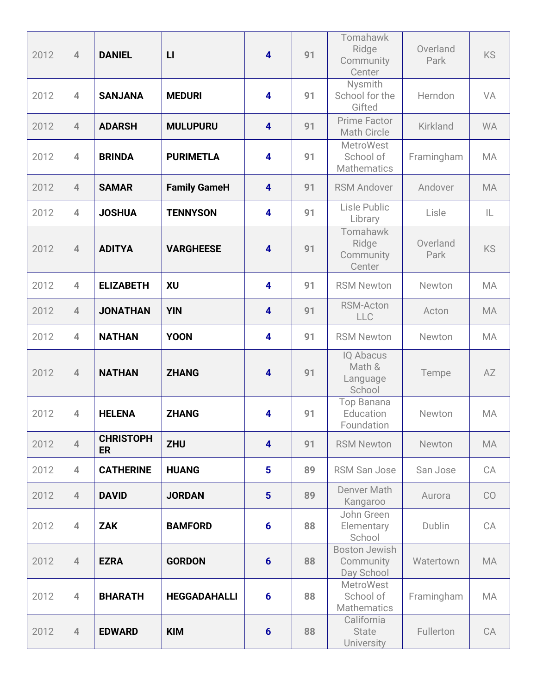| 2012 | $\overline{4}$ | <b>DANIEL</b>                 | $\mathsf{L}$        | $\overline{\mathbf{4}}$ | 91 | Tomahawk<br>Ridge<br>Community<br>Center            | Overland<br>Park | <b>KS</b> |
|------|----------------|-------------------------------|---------------------|-------------------------|----|-----------------------------------------------------|------------------|-----------|
| 2012 | $\overline{4}$ | <b>SANJANA</b>                | <b>MEDURI</b>       | $\overline{\mathbf{4}}$ | 91 | Nysmith<br>School for the<br>Gifted                 | Herndon          | VA        |
| 2012 | $\overline{4}$ | <b>ADARSH</b>                 | <b>MULUPURU</b>     | $\overline{\mathbf{4}}$ | 91 | <b>Prime Factor</b><br><b>Math Circle</b>           | Kirkland         | <b>WA</b> |
| 2012 | $\overline{4}$ | <b>BRINDA</b>                 | <b>PURIMETLA</b>    | $\overline{\mathbf{4}}$ | 91 | <b>MetroWest</b><br>School of<br><b>Mathematics</b> | Framingham       | MA        |
| 2012 | $\overline{4}$ | <b>SAMAR</b>                  | <b>Family GameH</b> | $\overline{\mathbf{4}}$ | 91 | <b>RSM Andover</b>                                  | Andover          | <b>MA</b> |
| 2012 | $\overline{4}$ | <b>JOSHUA</b>                 | <b>TENNYSON</b>     | $\overline{\mathbf{4}}$ | 91 | Lisle Public<br>Library                             | Lisle            | IL        |
| 2012 | $\overline{4}$ | <b>ADITYA</b>                 | <b>VARGHEESE</b>    | $\overline{\mathbf{4}}$ | 91 | Tomahawk<br>Ridge<br>Community<br>Center            | Overland<br>Park | <b>KS</b> |
| 2012 | $\overline{4}$ | <b>ELIZABETH</b>              | XU                  | $\overline{\mathbf{4}}$ | 91 | <b>RSM Newton</b>                                   | Newton           | MA        |
| 2012 | $\overline{4}$ | <b>JONATHAN</b>               | <b>YIN</b>          | $\overline{\mathbf{4}}$ | 91 | <b>RSM-Acton</b><br>LLC                             | Acton            | <b>MA</b> |
| 2012 | $\overline{4}$ | <b>NATHAN</b>                 | <b>YOON</b>         | $\overline{\mathbf{4}}$ | 91 | <b>RSM Newton</b>                                   | Newton           | MA        |
| 2012 | $\overline{4}$ | <b>NATHAN</b>                 | <b>ZHANG</b>        | $\overline{\mathbf{4}}$ | 91 | IQ Abacus<br>Math &<br>Language<br>School           | Tempe            | AZ        |
| 2012 | 4              | <b>HELENA</b>                 | <b>ZHANG</b>        | $\overline{\mathbf{4}}$ | 91 | Top Banana<br>Education<br>Foundation               | Newton           | <b>MA</b> |
| 2012 | $\overline{4}$ | <b>CHRISTOPH</b><br><b>ER</b> | <b>ZHU</b>          | $\overline{\mathbf{4}}$ | 91 | <b>RSM Newton</b>                                   | Newton           | MA        |
| 2012 | $\overline{4}$ | <b>CATHERINE</b>              | <b>HUANG</b>        | 5                       | 89 | <b>RSM San Jose</b>                                 | San Jose         | CA        |
| 2012 | $\overline{4}$ | <b>DAVID</b>                  | <b>JORDAN</b>       | $5\phantom{1}$          | 89 | Denver Math<br>Kangaroo                             | Aurora           | CO        |
| 2012 | $\overline{4}$ | <b>ZAK</b>                    | <b>BAMFORD</b>      | $6\phantom{1}6$         | 88 | John Green<br>Elementary<br>School                  | Dublin           | CA        |
| 2012 | $\overline{4}$ | <b>EZRA</b>                   | <b>GORDON</b>       | $6\phantom{1}6$         | 88 | <b>Boston Jewish</b><br>Community<br>Day School     | Watertown        | <b>MA</b> |
| 2012 | $\overline{4}$ | <b>BHARATH</b>                | <b>HEGGADAHALLI</b> | $6\phantom{1}6$         | 88 | <b>MetroWest</b><br>School of<br><b>Mathematics</b> | Framingham       | MA        |
| 2012 | $\overline{4}$ | <b>EDWARD</b>                 | <b>KIM</b>          | $6\phantom{1}6$         | 88 | California<br><b>State</b><br>University            | Fullerton        | CA        |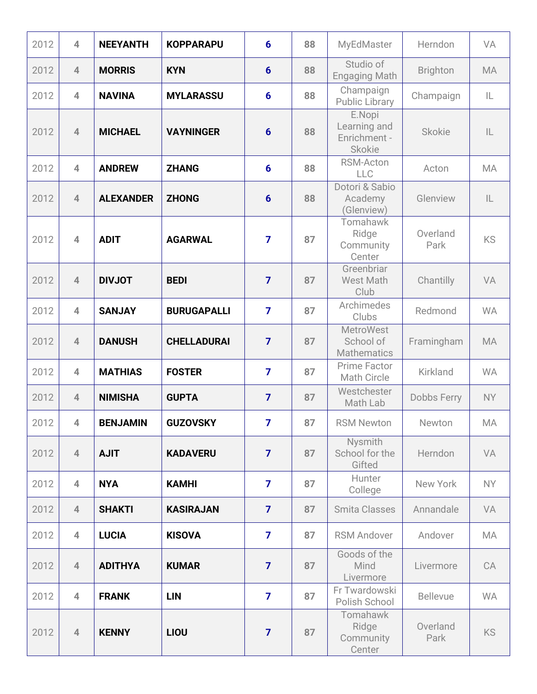| 2012 | $\overline{4}$ | <b>NEEYANTH</b>  | <b>KOPPARAPU</b>   | $6\phantom{1}6$ | 88 | MyEdMaster                                              | Herndon          | <b>VA</b>     |
|------|----------------|------------------|--------------------|-----------------|----|---------------------------------------------------------|------------------|---------------|
| 2012 | $\overline{4}$ | <b>MORRIS</b>    | <b>KYN</b>         | $6\phantom{1}$  | 88 | Studio of<br><b>Engaging Math</b>                       | <b>Brighton</b>  | <b>MA</b>     |
| 2012 | $\overline{4}$ | <b>NAVINA</b>    | <b>MYLARASSU</b>   | $6\phantom{1}6$ | 88 | Champaign<br><b>Public Library</b>                      | Champaign        | IL            |
| 2012 | $\overline{4}$ | <b>MICHAEL</b>   | <b>VAYNINGER</b>   | $6\phantom{1}6$ | 88 | E.Nopi<br>Learning and<br>Enrichment -<br><b>Skokie</b> | <b>Skokie</b>    | $\mathsf{IL}$ |
| 2012 | $\overline{4}$ | <b>ANDREW</b>    | <b>ZHANG</b>       | $6\phantom{1}6$ | 88 | <b>RSM-Acton</b><br>LLC                                 | Acton            | <b>MA</b>     |
| 2012 | $\overline{4}$ | <b>ALEXANDER</b> | <b>ZHONG</b>       | $6\phantom{1}6$ | 88 | Dotori & Sabio<br>Academy<br>(Glenview)                 | Glenview         | L             |
| 2012 | $\overline{4}$ | <b>ADIT</b>      | <b>AGARWAL</b>     | $\overline{7}$  | 87 | Tomahawk<br>Ridge<br>Community<br>Center                | Overland<br>Park | <b>KS</b>     |
| 2012 | $\overline{4}$ | <b>DIVJOT</b>    | <b>BEDI</b>        | $\overline{7}$  | 87 | Greenbriar<br><b>West Math</b><br>Club                  | Chantilly        | VA            |
| 2012 | $\overline{4}$ | <b>SANJAY</b>    | <b>BURUGAPALLI</b> | $\overline{7}$  | 87 | Archimedes<br>Clubs                                     | Redmond          | <b>WA</b>     |
| 2012 | $\overline{4}$ | <b>DANUSH</b>    | <b>CHELLADURAI</b> | $\overline{7}$  | 87 | <b>MetroWest</b><br>School of<br><b>Mathematics</b>     | Framingham       | <b>MA</b>     |
| 2012 | $\overline{4}$ | <b>MATHIAS</b>   | <b>FOSTER</b>      | $\overline{7}$  | 87 | Prime Factor<br>Math Circle                             | Kirkland         | <b>WA</b>     |
| 2012 | $\overline{4}$ | <b>NIMISHA</b>   | <b>GUPTA</b>       | $\overline{7}$  | 87 | Westchester<br>Math Lab                                 | Dobbs Ferry      | <b>NY</b>     |
| 2012 | $\overline{4}$ | <b>BENJAMIN</b>  | <b>GUZOVSKY</b>    | $\overline{7}$  | 87 | <b>RSM Newton</b>                                       | Newton           | MA            |
| 2012 | $\overline{4}$ | <b>AJIT</b>      | <b>KADAVERU</b>    | $\overline{7}$  | 87 | Nysmith<br>School for the<br>Gifted                     | Herndon          | VA            |
| 2012 | $\overline{4}$ | <b>NYA</b>       | <b>KAMHI</b>       | $\overline{7}$  | 87 | Hunter<br>College                                       | New York         | NY.           |
| 2012 | $\overline{4}$ | <b>SHAKTI</b>    | <b>KASIRAJAN</b>   | $\overline{7}$  | 87 | <b>Smita Classes</b>                                    | Annandale        | VA            |
| 2012 | $\overline{4}$ | <b>LUCIA</b>     | <b>KISOVA</b>      | $\overline{7}$  | 87 | <b>RSM Andover</b>                                      | Andover          | MA            |
| 2012 | $\overline{4}$ | <b>ADITHYA</b>   | <b>KUMAR</b>       | $\overline{7}$  | 87 | Goods of the<br>Mind<br>Livermore                       | Livermore        | CA            |
| 2012 | $\overline{4}$ | <b>FRANK</b>     | <b>LIN</b>         | $\overline{7}$  | 87 | Fr Twardowski<br>Polish School                          | <b>Bellevue</b>  | <b>WA</b>     |
| 2012 | $\overline{4}$ | <b>KENNY</b>     | LIOU               | $\overline{7}$  | 87 | Tomahawk<br>Ridge<br>Community<br>Center                | Overland<br>Park | <b>KS</b>     |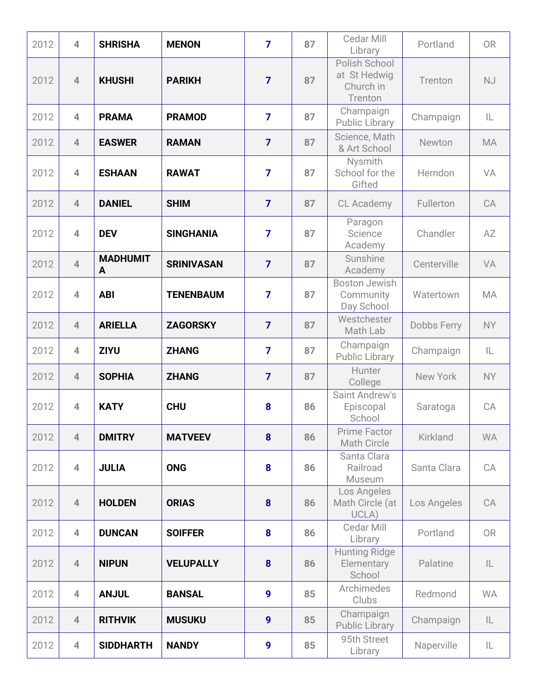| 2012 | $\overline{4}$ | <b>SHRISHA</b>       | <b>MENON</b>      | $\overline{7}$   | 87 | Cedar Mill<br>Library                                 | Portland        | <b>OR</b>     |
|------|----------------|----------------------|-------------------|------------------|----|-------------------------------------------------------|-----------------|---------------|
| 2012 | $\overline{4}$ | <b>KHUSHI</b>        | <b>PARIKH</b>     | $\overline{7}$   | 87 | Polish School<br>at St Hedwig<br>Church in<br>Trenton | Trenton         | <b>NJ</b>     |
| 2012 | $\overline{4}$ | <b>PRAMA</b>         | <b>PRAMOD</b>     | $\overline{7}$   | 87 | Champaign<br><b>Public Library</b>                    | Champaign       | IL            |
| 2012 | $\overline{4}$ | <b>EASWER</b>        | <b>RAMAN</b>      | $\overline{7}$   | 87 | Science, Math<br>& Art School                         | Newton          | <b>MA</b>     |
| 2012 | $\overline{4}$ | <b>ESHAAN</b>        | <b>RAWAT</b>      | $\overline{7}$   | 87 | Nysmith<br>School for the<br>Gifted                   | Herndon         | VA            |
| 2012 | $\overline{4}$ | <b>DANIEL</b>        | <b>SHIM</b>       | $\overline{7}$   | 87 | CL Academy                                            | Fullerton       | CA            |
| 2012 | $\overline{4}$ | <b>DEV</b>           | <b>SINGHANIA</b>  | $\overline{7}$   | 87 | Paragon<br>Science<br>Academy                         | Chandler        | AZ            |
| 2012 | $\overline{4}$ | <b>MADHUMIT</b><br>A | <b>SRINIVASAN</b> | $\overline{7}$   | 87 | Sunshine<br>Academy                                   | Centerville     | VA            |
| 2012 | $\overline{4}$ | <b>ABI</b>           | <b>TENENBAUM</b>  | $\overline{7}$   | 87 | <b>Boston Jewish</b><br>Community<br>Day School       | Watertown       | <b>MA</b>     |
| 2012 | $\overline{4}$ | <b>ARIELLA</b>       | <b>ZAGORSKY</b>   | $\overline{7}$   | 87 | Westchester<br>Math Lab                               | Dobbs Ferry     | <b>NY</b>     |
| 2012 | $\overline{4}$ | <b>ZIYU</b>          | <b>ZHANG</b>      | $\overline{7}$   | 87 | Champaign<br><b>Public Library</b>                    | Champaign       | IL            |
| 2012 | $\overline{4}$ | <b>SOPHIA</b>        | <b>ZHANG</b>      | $\overline{7}$   | 87 | Hunter<br>College                                     | New York        | <b>NY</b>     |
| 2012 | $\overline{4}$ | <b>KATY</b>          | <b>CHU</b>        | 8                | 86 | Saint Andrew's<br>Episcopal<br>School                 | Saratoga        | CA            |
| 2012 | $\overline{4}$ | <b>DMITRY</b>        | <b>MATVEEV</b>    | 8                | 86 | Prime Factor<br><b>Math Circle</b>                    | <b>Kirkland</b> | <b>WA</b>     |
| 2012 | $\overline{4}$ | <b>JULIA</b>         | <b>ONG</b>        | 8                | 86 | Santa Clara<br>Railroad<br>Museum                     | Santa Clara     | CA            |
| 2012 | $\overline{4}$ | <b>HOLDEN</b>        | <b>ORIAS</b>      | 8                | 86 | Los Angeles<br>Math Circle (at<br>UCLA)               | Los Angeles     | CA            |
| 2012 | $\overline{4}$ | <b>DUNCAN</b>        | <b>SOIFFER</b>    | 8                | 86 | Cedar Mill<br>Library                                 | Portland        | <b>OR</b>     |
| 2012 | $\overline{4}$ | <b>NIPUN</b>         | <b>VELUPALLY</b>  | 8                | 86 | <b>Hunting Ridge</b><br>Elementary<br>School          | Palatine        | IL            |
| 2012 | $\overline{4}$ | <b>ANJUL</b>         | <b>BANSAL</b>     | 9                | 85 | Archimedes<br>Clubs                                   | Redmond         | <b>WA</b>     |
| 2012 | $\overline{4}$ | <b>RITHVIK</b>       | <b>MUSUKU</b>     | $\boldsymbol{9}$ | 85 | Champaign<br><b>Public Library</b>                    | Champaign       | $\mathsf{IL}$ |
| 2012 | $\overline{4}$ | <b>SIDDHARTH</b>     | <b>NANDY</b>      | $\boldsymbol{9}$ | 85 | 95th Street<br>Library                                | Naperville      | IL            |